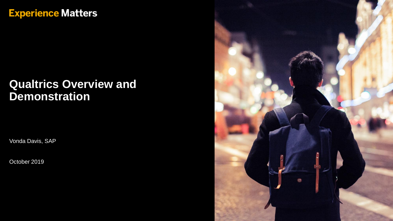#### **Experience Matters**

#### **Qualtrics Overview and Demonstration**

Vonda Davis, SAP

October 2019

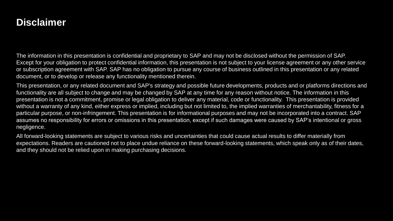#### **Disclaimer**

The information in this presentation is confidential and proprietary to SAP and may not be disclosed without the permission of SAP. Except for your obligation to protect confidential information, this presentation is not subject to your license agreement or any other service or subscription agreement with SAP. SAP has no obligation to pursue any course of business outlined in this presentation or any related document, or to develop or release any functionality mentioned therein.

This presentation, or any related document and SAP's strategy and possible future developments, products and or platforms directions and functionality are all subject to change and may be changed by SAP at any time for any reason without notice. The information in this presentation is not a commitment, promise or legal obligation to deliver any material, code or functionality. This presentation is provided without a warranty of any kind, either express or implied, including but not limited to, the implied warranties of merchantability, fitness for a particular purpose, or non-infringement. This presentation is for informational purposes and may not be incorporated into a contract. SAP assumes no responsibility for errors or omissions in this presentation, except if such damages were caused by SAP's intentional or gross negligence.

All forward-looking statements are subject to various risks and uncertainties that could cause actual results to differ materially from expectations. Readers are cautioned not to place undue reliance on these forward-looking statements, which speak only as of their dates, and they should not be relied upon in making purchasing decisions.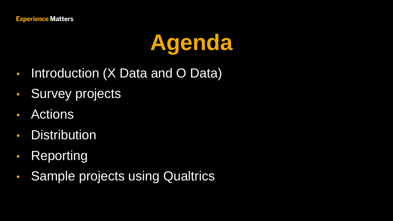## **Agenda**

- Introduction (X Data and O Data)
- Survey projects
- Actions
- Distribution
- Reporting
- Sample projects using Qualtrics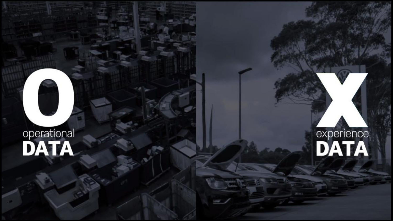# operational<br>**DATA**

 $\overline{\phantom{a}}$ 

## experience<br>DATA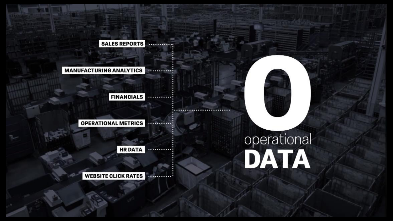**SALES REPORTS**  $..................$ 

#### **MANUFACTURING ANALYTICS** ............

**FINANCIALS** ............

**OPERATIONAL METRICS**  $...............$ 

> **HR DATA** ............

WEBSITE CLICK RATES

# operational<br>**DATA**

**B**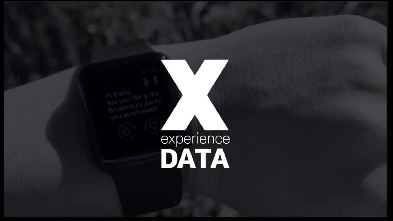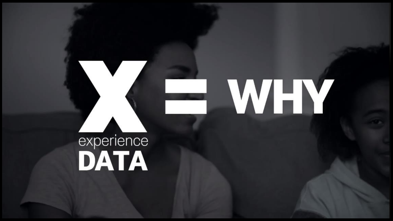# experience<br>DATA

# WHY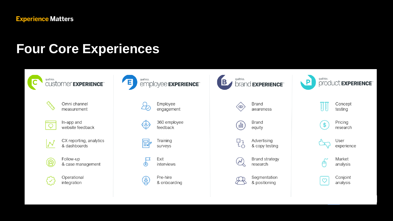#### **Four Core Experiences**

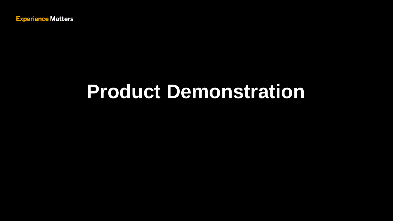**Experience Matters** 

### **Product Demonstration**